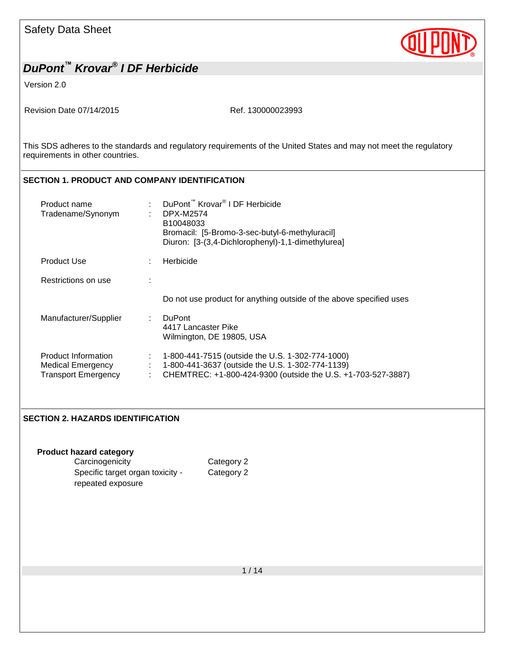Version 2.0

Revision Date 07/14/2015 Ref. 130000023993

This SDS adheres to the standards and regulatory requirements of the United States and may not meet the regulatory requirements in other countries.

#### **SECTION 1. PRODUCT AND COMPANY IDENTIFICATION**

| Product name<br>Tradename/Synonym                                             | DuPont <sup>™</sup> Krovar <sup>®</sup> I DF Herbicide<br>DPX-M2574<br>٠<br>B10048033 | Bromacil: [5-Bromo-3-sec-butyl-6-methyluracil]<br>Diuron: [3-(3,4-Dichlorophenyl)-1,1-dimethylurea]                                                                  |
|-------------------------------------------------------------------------------|---------------------------------------------------------------------------------------|----------------------------------------------------------------------------------------------------------------------------------------------------------------------|
| <b>Product Use</b>                                                            | Herbicide                                                                             |                                                                                                                                                                      |
| Restrictions on use                                                           |                                                                                       |                                                                                                                                                                      |
|                                                                               |                                                                                       | Do not use product for anything outside of the above specified uses                                                                                                  |
| Manufacturer/Supplier                                                         | DuPont<br>÷.<br>4417 Lancaster Pike<br>Wilmington, DE 19805, USA                      |                                                                                                                                                                      |
| Product Information<br><b>Medical Emergency</b><br><b>Transport Emergency</b> | ÷                                                                                     | 1-800-441-7515 (outside the U.S. 1-302-774-1000)<br>1-800-441-3637 (outside the U.S. 1-302-774-1139)<br>CHEMTREC: +1-800-424-9300 (outside the U.S. +1-703-527-3887) |

#### **SECTION 2. HAZARDS IDENTIFICATION**

repeated exposure

#### **Product hazard category** Carcinogenicity Category 2 Specific target organ toxicity -

Category 2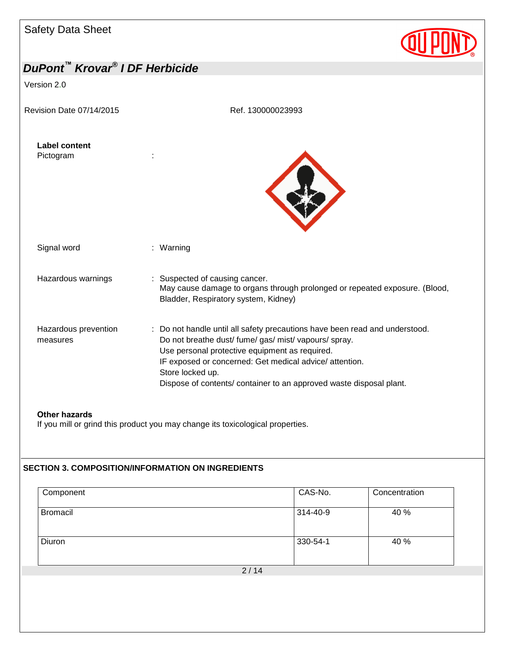

| DuPont™ Krovar® I DF Herbicide    |                                                                                                                                                                                                                                                                                                                                              |
|-----------------------------------|----------------------------------------------------------------------------------------------------------------------------------------------------------------------------------------------------------------------------------------------------------------------------------------------------------------------------------------------|
| Version 2.0                       |                                                                                                                                                                                                                                                                                                                                              |
| Revision Date 07/14/2015          | Ref. 130000023993                                                                                                                                                                                                                                                                                                                            |
| <b>Label content</b><br>Pictogram |                                                                                                                                                                                                                                                                                                                                              |
| Signal word                       | : Warning                                                                                                                                                                                                                                                                                                                                    |
| Hazardous warnings                | : Suspected of causing cancer.<br>May cause damage to organs through prolonged or repeated exposure. (Blood,<br>Bladder, Respiratory system, Kidney)                                                                                                                                                                                         |
| Hazardous prevention<br>measures  | : Do not handle until all safety precautions have been read and understood.<br>Do not breathe dust/ fume/ gas/ mist/ vapours/ spray.<br>Use personal protective equipment as required.<br>IF exposed or concerned: Get medical advice/ attention.<br>Store locked up.<br>Dispose of contents/ container to an approved waste disposal plant. |
|                                   |                                                                                                                                                                                                                                                                                                                                              |

**Other hazards**

If you mill or grind this product you may change its toxicological properties.

### **SECTION 3. COMPOSITION/INFORMATION ON INGREDIENTS**

| Component       |      | CAS-No.  | Concentration |
|-----------------|------|----------|---------------|
| <b>Bromacil</b> |      | 314-40-9 | 40 %          |
| Diuron          |      | 330-54-1 | 40 %          |
|                 | 2/14 |          |               |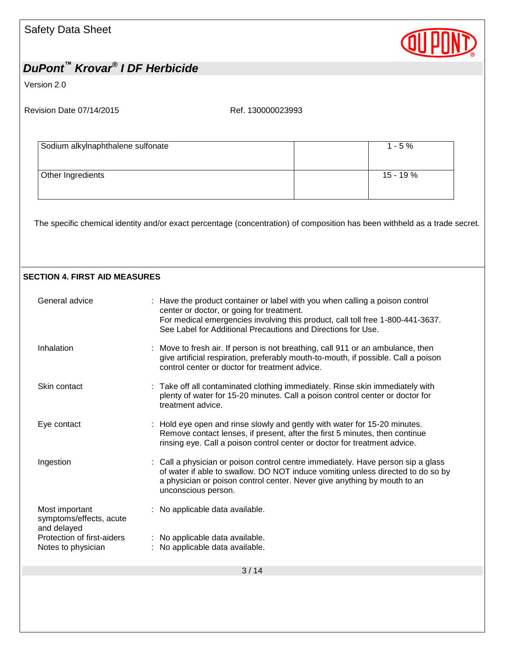

Version 2.0

### **SECTION 4. FIRST AID MEASURES**

| General advice                                           | : Have the product container or label with you when calling a poison control<br>center or doctor, or going for treatment.<br>For medical emergencies involving this product, call toll free 1-800-441-3637.<br>See Label for Additional Precautions and Directions for Use. |
|----------------------------------------------------------|-----------------------------------------------------------------------------------------------------------------------------------------------------------------------------------------------------------------------------------------------------------------------------|
| Inhalation                                               | : Move to fresh air. If person is not breathing, call 911 or an ambulance, then<br>give artificial respiration, preferably mouth-to-mouth, if possible. Call a poison<br>control center or doctor for treatment advice.                                                     |
| Skin contact                                             | : Take off all contaminated clothing immediately. Rinse skin immediately with<br>plenty of water for 15-20 minutes. Call a poison control center or doctor for<br>treatment advice.                                                                                         |
| Eye contact                                              | : Hold eye open and rinse slowly and gently with water for 15-20 minutes.<br>Remove contact lenses, if present, after the first 5 minutes, then continue<br>rinsing eye. Call a poison control center or doctor for treatment advice.                                       |
| Ingestion                                                | : Call a physician or poison control centre immediately. Have person sip a glass<br>of water if able to swallow. DO NOT induce vomiting unless directed to do so by<br>a physician or poison control center. Never give anything by mouth to an<br>unconscious person.      |
| Most important<br>symptoms/effects, acute<br>and delayed | : No applicable data available.                                                                                                                                                                                                                                             |
| Protection of first-aiders<br>Notes to physician         | : No applicable data available.<br>: No applicable data available.                                                                                                                                                                                                          |
|                                                          | 3/14                                                                                                                                                                                                                                                                        |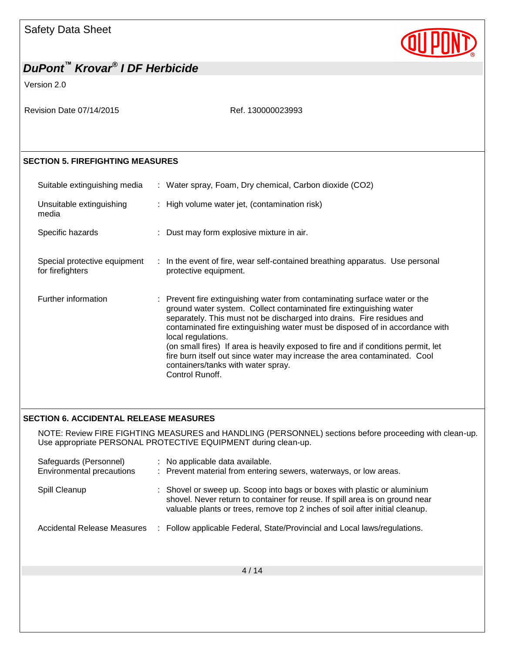

## *DuPont™ Krovar® I DF Herbicide* Version 2.0 Revision Date 07/14/2015 Ref. 130000023993 **SECTION 5. FIREFIGHTING MEASURES** Suitable extinguishing media : Water spray, Foam, Dry chemical, Carbon dioxide (CO2) Unsuitable extinguishing media : High volume water jet, (contamination risk) Specific hazards : Dust may form explosive mixture in air. Special protective equipment for firefighters : In the event of fire, wear self-contained breathing apparatus. Use personal protective equipment. Further information : Prevent fire extinguishing water from contaminating surface water or the ground water system. Collect contaminated fire extinguishing water separately. This must not be discharged into drains. Fire residues and contaminated fire extinguishing water must be disposed of in accordance with local regulations. (on small fires) If area is heavily exposed to fire and if conditions permit, let fire burn itself out since water may increase the area contaminated. Cool containers/tanks with water spray. Control Runoff.

#### **SECTION 6. ACCIDENTAL RELEASE MEASURES**

NOTE: Review FIRE FIGHTING MEASURES and HANDLING (PERSONNEL) sections before proceeding with clean-up. Use appropriate PERSONAL PROTECTIVE EQUIPMENT during clean-up.

| Safeguards (Personnel)<br>Environmental precautions | : No applicable data available.<br>: Prevent material from entering sewers, waterways, or low areas.                                                                                                                                     |
|-----------------------------------------------------|------------------------------------------------------------------------------------------------------------------------------------------------------------------------------------------------------------------------------------------|
| Spill Cleanup                                       | : Shovel or sweep up. Scoop into bags or boxes with plastic or aluminium<br>shovel. Never return to container for reuse. If spill area is on ground near<br>valuable plants or trees, remove top 2 inches of soil after initial cleanup. |
| Accidental Release Measures                         | : Follow applicable Federal, State/Provincial and Local laws/regulations.                                                                                                                                                                |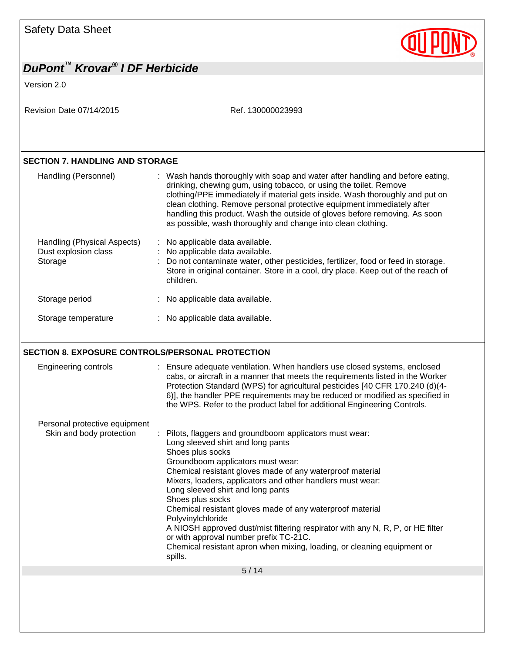

|                                                                | DuPont <sup>™</sup> Krovar <sup>®</sup> I DF Herbicide                                                                                                                                                                                                                                                                                                                                                                                                                                                                                                                                                                                       |
|----------------------------------------------------------------|----------------------------------------------------------------------------------------------------------------------------------------------------------------------------------------------------------------------------------------------------------------------------------------------------------------------------------------------------------------------------------------------------------------------------------------------------------------------------------------------------------------------------------------------------------------------------------------------------------------------------------------------|
| Version 2.0                                                    |                                                                                                                                                                                                                                                                                                                                                                                                                                                                                                                                                                                                                                              |
| Revision Date 07/14/2015                                       | Ref. 130000023993                                                                                                                                                                                                                                                                                                                                                                                                                                                                                                                                                                                                                            |
|                                                                |                                                                                                                                                                                                                                                                                                                                                                                                                                                                                                                                                                                                                                              |
| <b>SECTION 7. HANDLING AND STORAGE</b>                         |                                                                                                                                                                                                                                                                                                                                                                                                                                                                                                                                                                                                                                              |
| Handling (Personnel)                                           | : Wash hands thoroughly with soap and water after handling and before eating,<br>drinking, chewing gum, using tobacco, or using the toilet. Remove<br>clothing/PPE immediately if material gets inside. Wash thoroughly and put on<br>clean clothing. Remove personal protective equipment immediately after<br>handling this product. Wash the outside of gloves before removing. As soon<br>as possible, wash thoroughly and change into clean clothing.                                                                                                                                                                                   |
| Handling (Physical Aspects)<br>Dust explosion class<br>Storage | No applicable data available.<br>No applicable data available.<br>Do not contaminate water, other pesticides, fertilizer, food or feed in storage.<br>Store in original container. Store in a cool, dry place. Keep out of the reach of<br>children.                                                                                                                                                                                                                                                                                                                                                                                         |
| Storage period                                                 | : No applicable data available.                                                                                                                                                                                                                                                                                                                                                                                                                                                                                                                                                                                                              |
|                                                                |                                                                                                                                                                                                                                                                                                                                                                                                                                                                                                                                                                                                                                              |
| Storage temperature                                            | : No applicable data available.                                                                                                                                                                                                                                                                                                                                                                                                                                                                                                                                                                                                              |
| Engineering controls                                           | SECTION 8. EXPOSURE CONTROLS/PERSONAL PROTECTION<br>: Ensure adequate ventilation. When handlers use closed systems, enclosed<br>cabs, or aircraft in a manner that meets the requirements listed in the Worker<br>Protection Standard (WPS) for agricultural pesticides [40 CFR 170.240 (d)(4-<br>6)], the handler PPE requirements may be reduced or modified as specified in<br>the WPS. Refer to the product label for additional Engineering Controls.                                                                                                                                                                                  |
| Personal protective equipment<br>Skin and body protection      | Pilots, flaggers and groundboom applicators must wear:<br>Long sleeved shirt and long pants<br>Shoes plus socks<br>Groundboom applicators must wear:<br>Chemical resistant gloves made of any waterproof material<br>Mixers, loaders, applicators and other handlers must wear:<br>Long sleeved shirt and long pants<br>Shoes plus socks<br>Chemical resistant gloves made of any waterproof material<br>Polyvinylchloride<br>A NIOSH approved dust/mist filtering respirator with any N, R, P, or HE filter<br>or with approval number prefix TC-21C.<br>Chemical resistant apron when mixing, loading, or cleaning equipment or<br>spills. |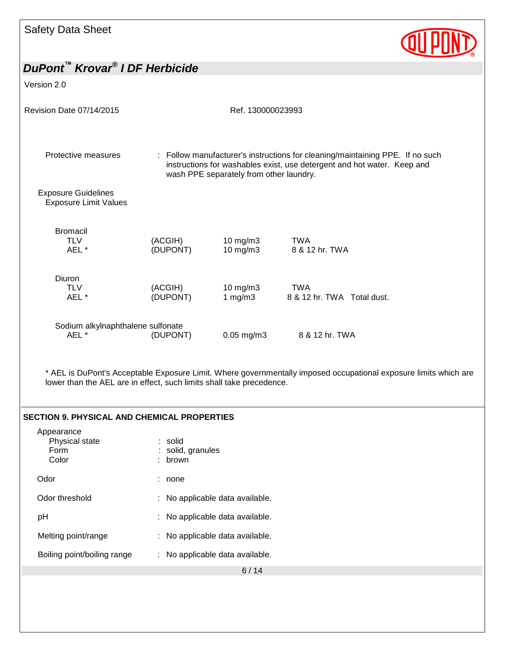

| Version 2.0                                                |                     |                                         |                                                                                                                                                          |
|------------------------------------------------------------|---------------------|-----------------------------------------|----------------------------------------------------------------------------------------------------------------------------------------------------------|
| <b>Revision Date 07/14/2015</b>                            |                     | Ref. 130000023993                       |                                                                                                                                                          |
| Protective measures                                        |                     | wash PPE separately from other laundry. | : Follow manufacturer's instructions for cleaning/maintaining PPE. If no such<br>instructions for washables exist, use detergent and hot water. Keep and |
| <b>Exposure Guidelines</b><br><b>Exposure Limit Values</b> |                     |                                         |                                                                                                                                                          |
| <b>Bromacil</b><br><b>TLV</b><br>AEL *                     | (ACGIH)<br>(DUPONT) | $10$ mg/m $3$<br>$10$ mg/m $3$          | <b>TWA</b><br>8 & 12 hr. TWA                                                                                                                             |
| <b>Diuron</b><br><b>TLV</b><br>AEL *                       | (ACGIH)<br>(DUPONT) | $10 \text{ mg/m}$ 3<br>1 $mg/m3$        | <b>TWA</b><br>8 & 12 hr. TWA Total dust.                                                                                                                 |
| Sodium alkylnaphthalene sulfonate<br>AEL <sup>*</sup>      | (DUPONT)            | $0.05$ mg/m $3$                         | 8 & 12 hr. TWA                                                                                                                                           |

\* AEL is DuPont's Acceptable Exposure Limit. Where governmentally imposed occupational exposure limits which are lower than the AEL are in effect, such limits shall take precedence.

#### **SECTION 9. PHYSICAL AND CHEMICAL PROPERTIES**

| Appearance<br>Physical state<br>Form<br>Color | : solid<br>: solid, granules<br>: brown |
|-----------------------------------------------|-----------------------------------------|
| Odor                                          | none                                    |
| Odor threshold                                | : No applicable data available.         |
| рH                                            | : No applicable data available.         |
| Melting point/range                           | : No applicable data available.         |
| Boiling point/boiling range                   | No applicable data available.<br>÷.     |
|                                               |                                         |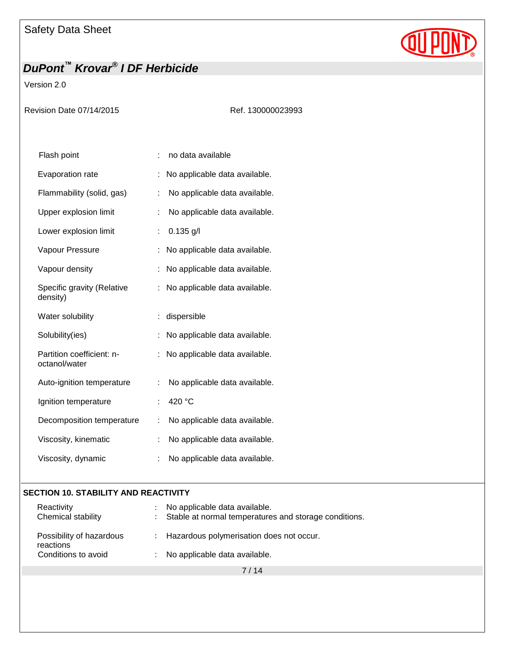# **QUPD**

## *DuPont™ Krovar® I DF Herbicide*

### Version 2.0

Revision Date 07/14/2015 Ref. 130000023993

| Flash point                                |    | no data available             |
|--------------------------------------------|----|-------------------------------|
| <b>Evaporation rate</b>                    |    | No applicable data available. |
| Flammability (solid, gas)                  | t  | No applicable data available. |
| Upper explosion limit                      | İ. | No applicable data available. |
| Lower explosion limit                      | ÷  | $0.135$ g/l                   |
| Vapour Pressure                            |    | No applicable data available. |
| Vapour density                             | t  | No applicable data available. |
| Specific gravity (Relative<br>density)     |    | No applicable data available. |
| Water solubility                           |    | dispersible                   |
| Solubility(ies)                            | t  | No applicable data available. |
| Partition coefficient: n-<br>octanol/water |    | No applicable data available. |
| Auto-ignition temperature                  | ÷  | No applicable data available. |
| Ignition temperature                       | t  | 420 °C                        |
| Decomposition temperature                  | ÷  | No applicable data available. |
| Viscosity, kinematic                       | ÷  | No applicable data available. |
| Viscosity, dynamic                         | ÷  | No applicable data available. |
|                                            |    |                               |

#### **SECTION 10. STABILITY AND REACTIVITY**

| Reactivity<br>Chemical stability      | : No applicable data available.<br>: Stable at normal temperatures and storage conditions. |
|---------------------------------------|--------------------------------------------------------------------------------------------|
| Possibility of hazardous<br>reactions | : Hazardous polymerisation does not occur.                                                 |
| Conditions to avoid                   | : No applicable data available.                                                            |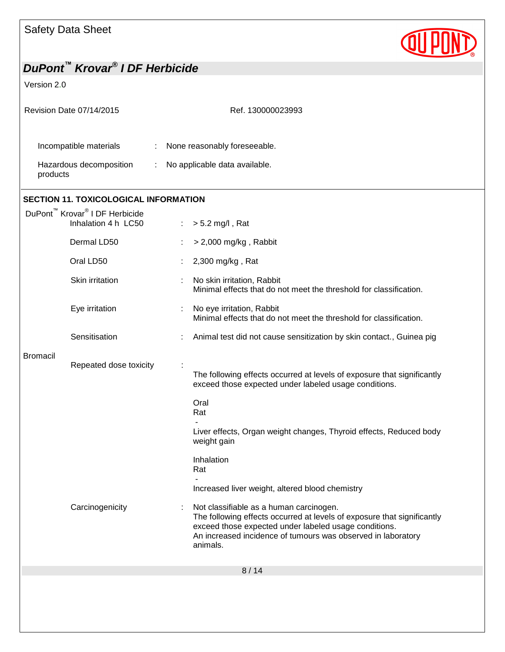

| Revision Date 07/14/2015                                                      | Ref. 130000023993                                                                                                                                                                                                                                       |  |  |
|-------------------------------------------------------------------------------|---------------------------------------------------------------------------------------------------------------------------------------------------------------------------------------------------------------------------------------------------------|--|--|
| Incompatible materials<br>Hazardous decomposition<br>products                 | None reasonably foreseeable.<br>No applicable data available.                                                                                                                                                                                           |  |  |
| <b>SECTION 11. TOXICOLOGICAL INFORMATION</b>                                  |                                                                                                                                                                                                                                                         |  |  |
| DuPont <sup>™</sup> Krovar <sup>®</sup> I DF Herbicide<br>Inhalation 4 h LC50 | $> 5.2$ mg/l, Rat                                                                                                                                                                                                                                       |  |  |
| Dermal LD50                                                                   | $>$ 2,000 mg/kg, Rabbit                                                                                                                                                                                                                                 |  |  |
| Oral LD50                                                                     | 2,300 mg/kg, Rat                                                                                                                                                                                                                                        |  |  |
| Skin irritation                                                               | No skin irritation, Rabbit<br>÷<br>Minimal effects that do not meet the threshold for classification.                                                                                                                                                   |  |  |
| Eye irritation                                                                | No eye irritation, Rabbit<br>÷<br>Minimal effects that do not meet the threshold for classification.                                                                                                                                                    |  |  |
| Sensitisation                                                                 | Animal test did not cause sensitization by skin contact., Guinea pig                                                                                                                                                                                    |  |  |
| <b>Bromacil</b><br>Repeated dose toxicity                                     | The following effects occurred at levels of exposure that significantly<br>exceed those expected under labeled usage conditions.                                                                                                                        |  |  |
|                                                                               | Oral<br>Rat                                                                                                                                                                                                                                             |  |  |
|                                                                               | Liver effects, Organ weight changes, Thyroid effects, Reduced body<br>weight gain                                                                                                                                                                       |  |  |
|                                                                               | Inhalation<br>Rat                                                                                                                                                                                                                                       |  |  |
|                                                                               | Increased liver weight, altered blood chemistry                                                                                                                                                                                                         |  |  |
| Carcinogenicity                                                               | Not classifiable as a human carcinogen.<br>The following effects occurred at levels of exposure that significantly<br>exceed those expected under labeled usage conditions.<br>An increased incidence of tumours was observed in laboratory<br>animals. |  |  |
|                                                                               | 8/14                                                                                                                                                                                                                                                    |  |  |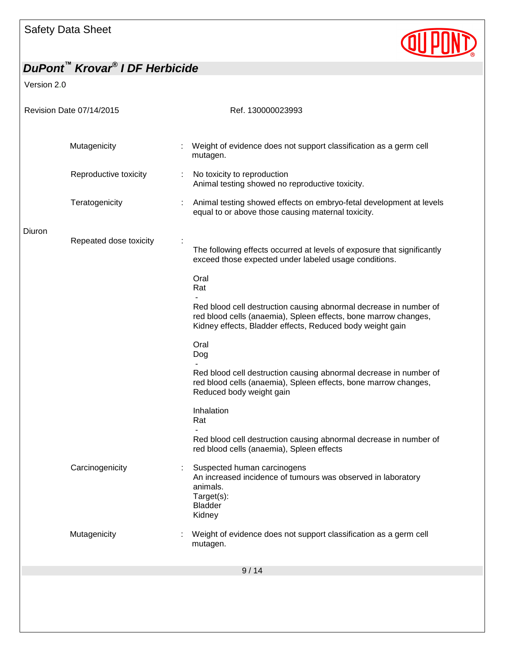

| Revision Date 07/14/2015 |                        |   | Ref. 130000023993                                                                                                                                                                                 |  |
|--------------------------|------------------------|---|---------------------------------------------------------------------------------------------------------------------------------------------------------------------------------------------------|--|
|                          |                        |   |                                                                                                                                                                                                   |  |
|                          | Mutagenicity           |   | Weight of evidence does not support classification as a germ cell<br>mutagen.                                                                                                                     |  |
|                          | Reproductive toxicity  | ÷ | No toxicity to reproduction<br>Animal testing showed no reproductive toxicity.                                                                                                                    |  |
|                          | Teratogenicity         |   | Animal testing showed effects on embryo-fetal development at levels<br>equal to or above those causing maternal toxicity.                                                                         |  |
| Diuron                   |                        |   |                                                                                                                                                                                                   |  |
|                          | Repeated dose toxicity |   | The following effects occurred at levels of exposure that significantly<br>exceed those expected under labeled usage conditions.                                                                  |  |
|                          |                        |   | Oral<br>Rat                                                                                                                                                                                       |  |
|                          |                        |   | Red blood cell destruction causing abnormal decrease in number of<br>red blood cells (anaemia), Spleen effects, bone marrow changes,<br>Kidney effects, Bladder effects, Reduced body weight gain |  |
|                          |                        |   | Oral<br>Dog                                                                                                                                                                                       |  |
|                          |                        |   | Red blood cell destruction causing abnormal decrease in number of<br>red blood cells (anaemia), Spleen effects, bone marrow changes,<br>Reduced body weight gain                                  |  |
|                          |                        |   | Inhalation<br>Rat                                                                                                                                                                                 |  |
|                          |                        |   | Red blood cell destruction causing abnormal decrease in number of<br>red blood cells (anaemia), Spleen effects                                                                                    |  |
|                          | Carcinogenicity        |   | Suspected human carcinogens<br>An increased incidence of tumours was observed in laboratory<br>animals.<br>Target(s):<br><b>Bladder</b><br>Kidney                                                 |  |
|                          | Mutagenicity           |   | Weight of evidence does not support classification as a germ cell<br>mutagen.                                                                                                                     |  |
|                          |                        |   | 9/14                                                                                                                                                                                              |  |
|                          |                        |   |                                                                                                                                                                                                   |  |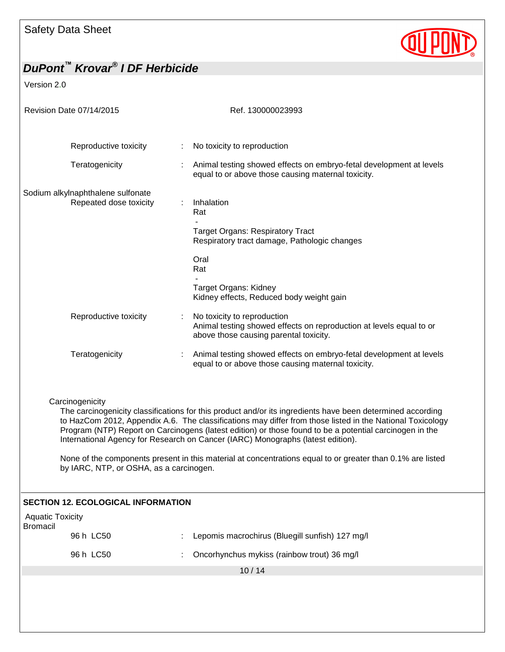

| Revision Date 07/14/2015                                                                                                                                                                                                                                                                                                                                                                                                                                                                                                                                                                          |                                           |                | Ref. 130000023993                                                                                                                            |  |  |
|---------------------------------------------------------------------------------------------------------------------------------------------------------------------------------------------------------------------------------------------------------------------------------------------------------------------------------------------------------------------------------------------------------------------------------------------------------------------------------------------------------------------------------------------------------------------------------------------------|-------------------------------------------|----------------|----------------------------------------------------------------------------------------------------------------------------------------------|--|--|
|                                                                                                                                                                                                                                                                                                                                                                                                                                                                                                                                                                                                   |                                           |                |                                                                                                                                              |  |  |
|                                                                                                                                                                                                                                                                                                                                                                                                                                                                                                                                                                                                   | Reproductive toxicity                     | $\mathbb{Z}^n$ | No toxicity to reproduction                                                                                                                  |  |  |
|                                                                                                                                                                                                                                                                                                                                                                                                                                                                                                                                                                                                   | Teratogenicity                            |                | Animal testing showed effects on embryo-fetal development at levels<br>equal to or above those causing maternal toxicity.                    |  |  |
| Sodium alkylnaphthalene sulfonate<br>Repeated dose toxicity                                                                                                                                                                                                                                                                                                                                                                                                                                                                                                                                       |                                           | ÷.             | Inhalation<br>Rat<br><b>Target Organs: Respiratory Tract</b>                                                                                 |  |  |
|                                                                                                                                                                                                                                                                                                                                                                                                                                                                                                                                                                                                   |                                           |                | Respiratory tract damage, Pathologic changes                                                                                                 |  |  |
|                                                                                                                                                                                                                                                                                                                                                                                                                                                                                                                                                                                                   |                                           |                | Oral<br>Rat                                                                                                                                  |  |  |
|                                                                                                                                                                                                                                                                                                                                                                                                                                                                                                                                                                                                   |                                           |                | <b>Target Organs: Kidney</b><br>Kidney effects, Reduced body weight gain                                                                     |  |  |
|                                                                                                                                                                                                                                                                                                                                                                                                                                                                                                                                                                                                   | Reproductive toxicity                     |                | No toxicity to reproduction<br>Animal testing showed effects on reproduction at levels equal to or<br>above those causing parental toxicity. |  |  |
|                                                                                                                                                                                                                                                                                                                                                                                                                                                                                                                                                                                                   | Teratogenicity                            |                | Animal testing showed effects on embryo-fetal development at levels<br>equal to or above those causing maternal toxicity.                    |  |  |
| Carcinogenicity<br>The carcinogenicity classifications for this product and/or its ingredients have been determined according<br>to HazCom 2012, Appendix A.6. The classifications may differ from those listed in the National Toxicology<br>Program (NTP) Report on Carcinogens (latest edition) or those found to be a potential carcinogen in the<br>International Agency for Research on Cancer (IARC) Monographs (latest edition).<br>None of the components present in this material at concentrations equal to or greater than 0.1% are listed<br>by IARC, NTP, or OSHA, as a carcinogen. |                                           |                |                                                                                                                                              |  |  |
|                                                                                                                                                                                                                                                                                                                                                                                                                                                                                                                                                                                                   | <b>SECTION 12. ECOLOGICAL INFORMATION</b> |                |                                                                                                                                              |  |  |
| <b>Aquatic Toxicity</b><br><b>Bromacil</b>                                                                                                                                                                                                                                                                                                                                                                                                                                                                                                                                                        |                                           |                |                                                                                                                                              |  |  |
|                                                                                                                                                                                                                                                                                                                                                                                                                                                                                                                                                                                                   | 96 h LC50                                 |                | Lepomis macrochirus (Bluegill sunfish) 127 mg/l                                                                                              |  |  |
|                                                                                                                                                                                                                                                                                                                                                                                                                                                                                                                                                                                                   | 96 h LC50                                 |                | Oncorhynchus mykiss (rainbow trout) 36 mg/l                                                                                                  |  |  |
|                                                                                                                                                                                                                                                                                                                                                                                                                                                                                                                                                                                                   | 10/14                                     |                |                                                                                                                                              |  |  |
|                                                                                                                                                                                                                                                                                                                                                                                                                                                                                                                                                                                                   |                                           |                |                                                                                                                                              |  |  |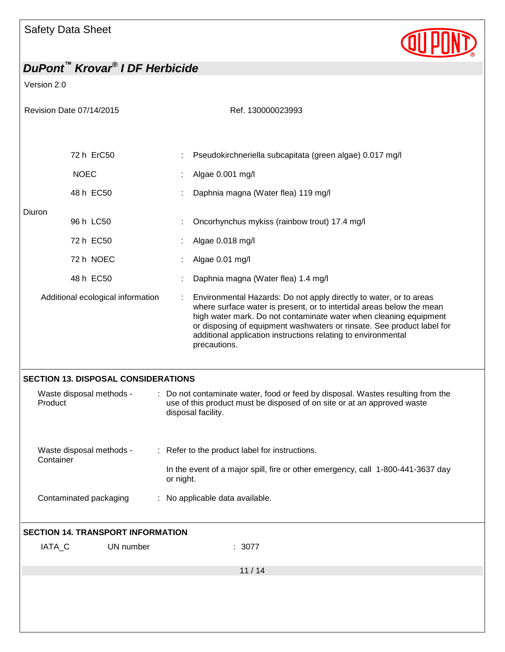

| Revision Date 07/14/2015                 |                                            |                                                                                              | Ref. 130000023993                                                                                                                                                                                                                                                                                                                                                           |  |
|------------------------------------------|--------------------------------------------|----------------------------------------------------------------------------------------------|-----------------------------------------------------------------------------------------------------------------------------------------------------------------------------------------------------------------------------------------------------------------------------------------------------------------------------------------------------------------------------|--|
|                                          |                                            |                                                                                              |                                                                                                                                                                                                                                                                                                                                                                             |  |
|                                          | 72 h ErC50                                 |                                                                                              | Pseudokirchneriella subcapitata (green algae) 0.017 mg/l                                                                                                                                                                                                                                                                                                                    |  |
|                                          |                                            |                                                                                              |                                                                                                                                                                                                                                                                                                                                                                             |  |
|                                          | <b>NOEC</b>                                |                                                                                              | Algae 0.001 mg/l                                                                                                                                                                                                                                                                                                                                                            |  |
|                                          | 48 h EC50                                  |                                                                                              | Daphnia magna (Water flea) 119 mg/l                                                                                                                                                                                                                                                                                                                                         |  |
| Diuron                                   | 96 h LC50                                  |                                                                                              | Oncorhynchus mykiss (rainbow trout) 17.4 mg/l                                                                                                                                                                                                                                                                                                                               |  |
|                                          | 72 h EC50                                  |                                                                                              | Algae 0.018 mg/l                                                                                                                                                                                                                                                                                                                                                            |  |
|                                          | 72 h NOEC                                  |                                                                                              | Algae 0.01 mg/l                                                                                                                                                                                                                                                                                                                                                             |  |
|                                          | 48 h EC50                                  |                                                                                              | Daphnia magna (Water flea) 1.4 mg/l                                                                                                                                                                                                                                                                                                                                         |  |
|                                          | Additional ecological information          |                                                                                              | Environmental Hazards: Do not apply directly to water, or to areas<br>where surface water is present, or to intertidal areas below the mean<br>high water mark. Do not contaminate water when cleaning equipment<br>or disposing of equipment washwaters or rinsate. See product label for<br>additional application instructions relating to environmental<br>precautions. |  |
|                                          | <b>SECTION 13. DISPOSAL CONSIDERATIONS</b> |                                                                                              |                                                                                                                                                                                                                                                                                                                                                                             |  |
| Product                                  | Waste disposal methods -                   |                                                                                              | Do not contaminate water, food or feed by disposal. Wastes resulting from the<br>use of this product must be disposed of on site or at an approved waste<br>disposal facility.                                                                                                                                                                                              |  |
| Waste disposal methods -<br>Container    |                                            | : Refer to the product label for instructions.                                               |                                                                                                                                                                                                                                                                                                                                                                             |  |
|                                          |                                            | In the event of a major spill, fire or other emergency, call 1-800-441-3637 day<br>or night. |                                                                                                                                                                                                                                                                                                                                                                             |  |
|                                          | Contaminated packaging                     |                                                                                              | : No applicable data available.                                                                                                                                                                                                                                                                                                                                             |  |
| <b>SECTION 14. TRANSPORT INFORMATION</b> |                                            |                                                                                              |                                                                                                                                                                                                                                                                                                                                                                             |  |
| IATA_C                                   | UN number                                  |                                                                                              | : 3077                                                                                                                                                                                                                                                                                                                                                                      |  |
|                                          |                                            |                                                                                              | 11/14                                                                                                                                                                                                                                                                                                                                                                       |  |
|                                          |                                            |                                                                                              |                                                                                                                                                                                                                                                                                                                                                                             |  |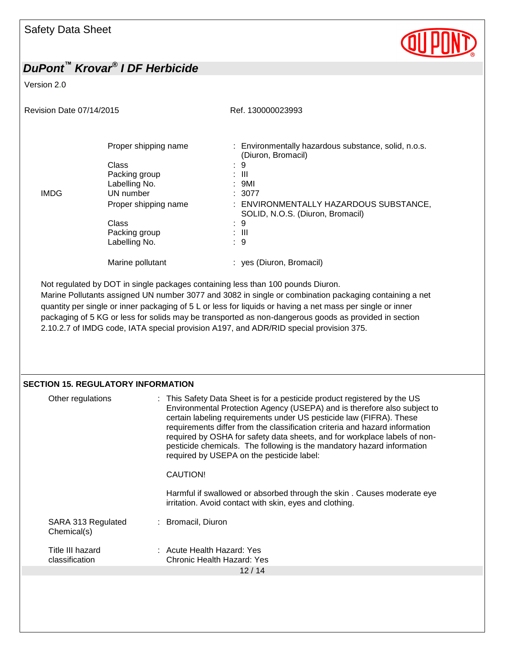

#### Version 2.0

Revision Date 07/14/2015 Revision Date 07/14/2015

|             | Proper shipping name | : Environmentally hazardous substance, solid, n.o.s.<br>(Diuron, Bromacil) |
|-------------|----------------------|----------------------------------------------------------------------------|
|             | Class                | 9<br>÷                                                                     |
|             | Packing group        | : III                                                                      |
|             | Labelling No.        | : 9M1                                                                      |
| <b>IMDG</b> | UN number            | : 3077                                                                     |
|             | Proper shipping name | : ENVIRONMENTALLY HAZARDOUS SUBSTANCE,<br>SOLID, N.O.S. (Diuron, Bromacil) |
|             | Class                | : 9                                                                        |
|             | Packing group        | : III                                                                      |
|             | Labelling No.        | : 9                                                                        |
|             | Marine pollutant     | : yes (Diuron, Bromacil)                                                   |

Not regulated by DOT in single packages containing less than 100 pounds Diuron. Marine Pollutants assigned UN number 3077 and 3082 in single or combination packaging containing a net quantity per single or inner packaging of 5 L or less for liquids or having a net mass per single or inner packaging of 5 KG or less for solids may be transported as non-dangerous goods as provided in section 2.10.2.7 of IMDG code, IATA special provision A197, and ADR/RID special provision 375.

#### **SECTION 15. REGULATORY INFORMATION**

| Other regulations                  | : This Safety Data Sheet is for a pesticide product registered by the US<br>Environmental Protection Agency (USEPA) and is therefore also subject to<br>certain labeling requirements under US pesticide law (FIFRA). These<br>requirements differ from the classification criteria and hazard information<br>required by OSHA for safety data sheets, and for workplace labels of non-<br>pesticide chemicals. The following is the mandatory hazard information<br>required by USEPA on the pesticide label:<br>CAUTION!<br>Harmful if swallowed or absorbed through the skin. Causes moderate eye<br>irritation. Avoid contact with skin, eyes and clothing. |
|------------------------------------|-----------------------------------------------------------------------------------------------------------------------------------------------------------------------------------------------------------------------------------------------------------------------------------------------------------------------------------------------------------------------------------------------------------------------------------------------------------------------------------------------------------------------------------------------------------------------------------------------------------------------------------------------------------------|
| SARA 313 Regulated<br>Chemical(s)  | : Bromacil, Diuron                                                                                                                                                                                                                                                                                                                                                                                                                                                                                                                                                                                                                                              |
| Title III hazard<br>classification | $\therefore$ Acute Health Hazard: Yes<br>Chronic Health Hazard: Yes                                                                                                                                                                                                                                                                                                                                                                                                                                                                                                                                                                                             |
|                                    | 12/14                                                                                                                                                                                                                                                                                                                                                                                                                                                                                                                                                                                                                                                           |
|                                    |                                                                                                                                                                                                                                                                                                                                                                                                                                                                                                                                                                                                                                                                 |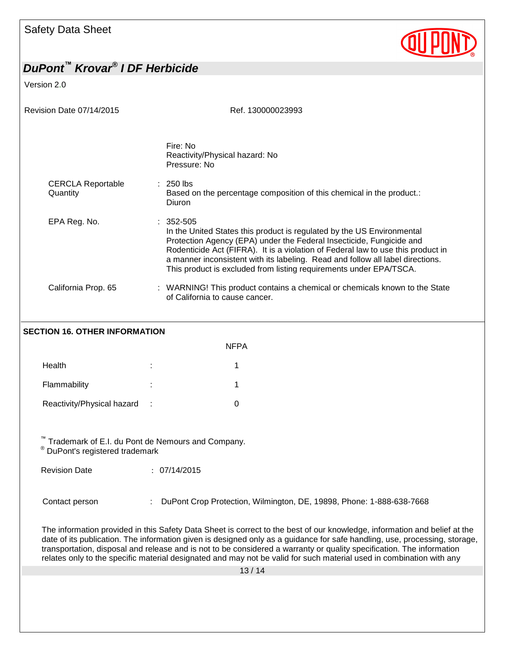

Version 2.0

| Revision Date 07/14/2015             | Ref. 130000023993                                                                                                                                                                                                                                                                                                                                                                                           |  |  |  |
|--------------------------------------|-------------------------------------------------------------------------------------------------------------------------------------------------------------------------------------------------------------------------------------------------------------------------------------------------------------------------------------------------------------------------------------------------------------|--|--|--|
|                                      | Fire: No<br>Reactivity/Physical hazard: No<br>Pressure: No                                                                                                                                                                                                                                                                                                                                                  |  |  |  |
| <b>CERCLA Reportable</b><br>Quantity | $: 250$ lbs<br>Based on the percentage composition of this chemical in the product.:<br>Diuron                                                                                                                                                                                                                                                                                                              |  |  |  |
| EPA Reg. No.                         | $: 352 - 505$<br>In the United States this product is regulated by the US Environmental<br>Protection Agency (EPA) under the Federal Insecticide, Fungicide and<br>Rodenticide Act (FIFRA). It is a violation of Federal law to use this product in<br>a manner inconsistent with its labeling. Read and follow all label directions.<br>This product is excluded from listing requirements under EPA/TSCA. |  |  |  |
| California Prop. 65                  | : WARNING! This product contains a chemical or chemicals known to the State<br>of California to cause cancer.                                                                                                                                                                                                                                                                                               |  |  |  |
| <b>SECTION 16. OTHER INFORMATION</b> |                                                                                                                                                                                                                                                                                                                                                                                                             |  |  |  |

|                            |        | <b>NFPA</b> |
|----------------------------|--------|-------------|
| Health                     | ٠<br>× |             |
| Flammability               | ٠<br>٠ |             |
| Reactivity/Physical hazard | ÷      |             |

™ Trademark of E.I. du Pont de Nemours and Company.

® DuPont's registered trademark

Revision Date : 07/14/2015

Contact person : DuPont Crop Protection, Wilmington, DE, 19898, Phone: 1-888-638-7668

The information provided in this Safety Data Sheet is correct to the best of our knowledge, information and belief at the date of its publication. The information given is designed only as a guidance for safe handling, use, processing, storage, transportation, disposal and release and is not to be considered a warranty or quality specification. The information relates only to the specific material designated and may not be valid for such material used in combination with any